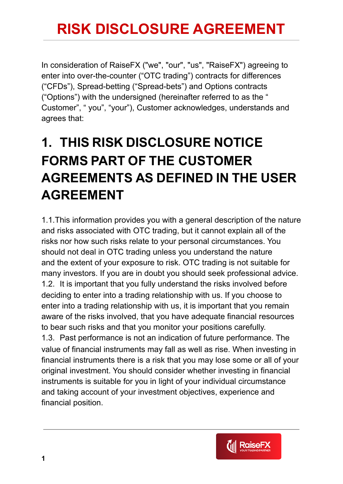In consideration of RaiseFX ("we", "our", "us", "RaiseFX") agreeing to enter into over-the-counter ("OTC trading") contracts for differences ("CFDs"), Spread-betting ("Spread-bets") and Options contracts ("Options") with the undersigned (hereinafter referred to as the " Customer", " you", "your"), Customer acknowledges, understands and agrees that:

#### **1. THIS RISK DISCLOSURE NOTICE FORMS PART OF THE CUSTOMER AGREEMENTS AS DEFINED IN THE USER AGREEMENT**

1.1.This information provides you with a general description of the nature and risks associated with OTC trading, but it cannot explain all of the risks nor how such risks relate to your personal circumstances. You should not deal in OTC trading unless you understand the nature and the extent of your exposure to risk. OTC trading is not suitable for many investors. If you are in doubt you should seek professional advice. 1.2. It is important that you fully understand the risks involved before deciding to enter into a trading relationship with us. If you choose to enter into a trading relationship with us, it is important that you remain aware of the risks involved, that you have adequate financial resources to bear such risks and that you monitor your positions carefully. 1.3. Past performance is not an indication of future performance. The value of financial instruments may fall as well as rise. When investing in financial instruments there is a risk that you may lose some or all of your original investment. You should consider whether investing in financial instruments is suitable for you in light of your individual circumstance and taking account of your investment objectives, experience and financial position.

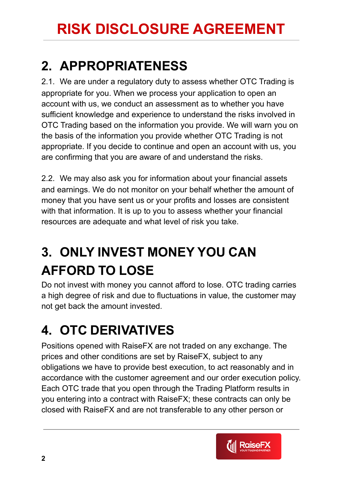#### **2. APPROPRIATENESS**

2.1. We are under a regulatory duty to assess whether OTC Trading is appropriate for you. When we process your application to open an account with us, we conduct an assessment as to whether you have sufficient knowledge and experience to understand the risks involved in OTC Trading based on the information you provide. We will warn you on the basis of the information you provide whether OTC Trading is not appropriate. If you decide to continue and open an account with us, you are confirming that you are aware of and understand the risks.

2.2. We may also ask you for information about your financial assets and earnings. We do not monitor on your behalf whether the amount of money that you have sent us or your profits and losses are consistent with that information. It is up to you to assess whether your financial resources are adequate and what level of risk you take.

### **3. ONLY INVEST MONEY YOU CAN AFFORD TO LOSE**

Do not invest with money you cannot afford to lose. OTC trading carries a high degree of risk and due to fluctuations in value, the customer may not get back the amount invested.

## **4. OTC DERIVATIVES**

Positions opened with RaiseFX are not traded on any exchange. The prices and other conditions are set by RaiseFX, subject to any obligations we have to provide best execution, to act reasonably and in accordance with the customer agreement and our order execution policy. Each OTC trade that you open through the Trading Platform results in you entering into a contract with RaiseFX; these contracts can only be closed with RaiseFX and are not transferable to any other person or

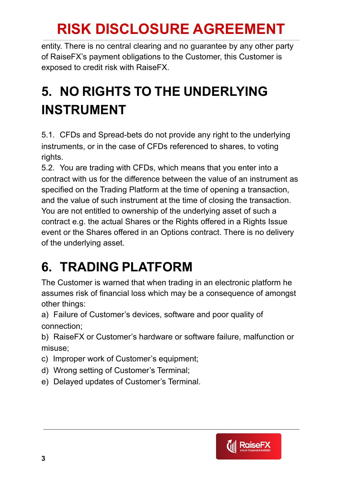entity. There is no central clearing and no guarantee by any other party of RaiseFX's payment obligations to the Customer, this Customer is exposed to credit risk with RaiseFX.

#### **5. NO RIGHTS TO THE UNDERLYING INSTRUMENT**

5.1. CFDs and Spread-bets do not provide any right to the underlying instruments, or in the case of CFDs referenced to shares, to voting rights.

5.2. You are trading with CFDs, which means that you enter into a contract with us for the difference between the value of an instrument as specified on the Trading Platform at the time of opening a transaction, and the value of such instrument at the time of closing the transaction. You are not entitled to ownership of the underlying asset of such a contract e.g. the actual Shares or the Rights offered in a Rights Issue event or the Shares offered in an Options contract. There is no delivery of the underlying asset.

#### **6. TRADING PLATFORM**

The Customer is warned that when trading in an electronic platform he assumes risk of financial loss which may be a consequence of amongst other things:

a) Failure of Customer's devices, software and poor quality of connection;

b) RaiseFX or Customer's hardware or software failure, malfunction or misuse;

- c) Improper work of Customer's equipment;
- d) Wrong setting of Customer's Terminal;
- e) Delayed updates of Customer's Terminal.

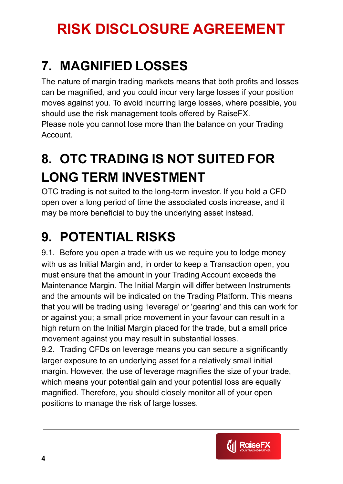#### **7. MAGNIFIED LOSSES**

The nature of margin trading markets means that both profits and losses can be magnified, and you could incur very large losses if your position moves against you. To avoid incurring large losses, where possible, you should use the risk management tools offered by RaiseFX. Please note you cannot lose more than the balance on your Trading Account.

## **8. OTC TRADING IS NOT SUITED FOR LONG TERM INVESTMENT**

OTC trading is not suited to the long-term investor. If you hold a CFD open over a long period of time the associated costs increase, and it may be more beneficial to buy the underlying asset instead.

#### **9. POTENTIAL RISKS**

9.1. Before you open a trade with us we require you to lodge money with us as Initial Margin and, in order to keep a Transaction open, you must ensure that the amount in your Trading Account exceeds the Maintenance Margin. The Initial Margin will differ between Instruments and the amounts will be indicated on the Trading Platform. This means that you will be trading using 'leverage' or 'gearing' and this can work for or against you; a small price movement in your favour can result in a high return on the Initial Margin placed for the trade, but a small price movement against you may result in substantial losses.

9.2. Trading CFDs on leverage means you can secure a significantly larger exposure to an underlying asset for a relatively small initial margin. However, the use of leverage magnifies the size of your trade, which means your potential gain and your potential loss are equally magnified. Therefore, you should closely monitor all of your open positions to manage the risk of large losses.

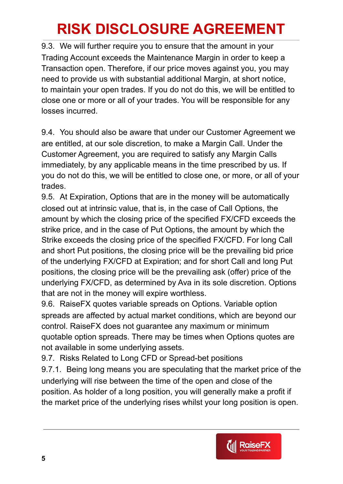9.3. We will further require you to ensure that the amount in your Trading Account exceeds the Maintenance Margin in order to keep a Transaction open. Therefore, if our price moves against you, you may need to provide us with substantial additional Margin, at short notice, to maintain your open trades. If you do not do this, we will be entitled to close one or more or all of your trades. You will be responsible for any losses incurred.

9.4. You should also be aware that under our Customer Agreement we are entitled, at our sole discretion, to make a Margin Call. Under the Customer Agreement, you are required to satisfy any Margin Calls immediately, by any applicable means in the time prescribed by us. If you do not do this, we will be entitled to close one, or more, or all of your trades.

9.5. At Expiration, Options that are in the money will be automatically closed out at intrinsic value, that is, in the case of Call Options, the amount by which the closing price of the specified FX/CFD exceeds the strike price, and in the case of Put Options, the amount by which the Strike exceeds the closing price of the specified FX/CFD. For long Call and short Put positions, the closing price will be the prevailing bid price of the underlying FX/CFD at Expiration; and for short Call and long Put positions, the closing price will be the prevailing ask (offer) price of the underlying FX/CFD, as determined by Ava in its sole discretion. Options that are not in the money will expire worthless.

9.6. RaiseFX quotes variable spreads on Options. Variable option spreads are affected by actual market conditions, which are beyond our control. RaiseFX does not guarantee any maximum or minimum quotable option spreads. There may be times when Options quotes are not available in some underlying assets.

9.7. Risks Related to Long CFD or Spread-bet positions

9.7.1. Being long means you are speculating that the market price of the underlying will rise between the time of the open and close of the position. As holder of a long position, you will generally make a profit if the market price of the underlying rises whilst your long position is open.

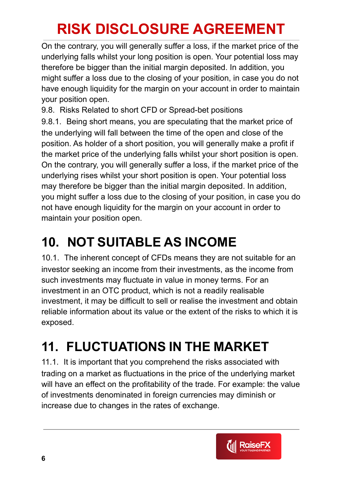On the contrary, you will generally suffer a loss, if the market price of the underlying falls whilst your long position is open. Your potential loss may therefore be bigger than the initial margin deposited. In addition, you might suffer a loss due to the closing of your position, in case you do not have enough liquidity for the margin on your account in order to maintain your position open.

9.8. Risks Related to short CFD or Spread-bet positions 9.8.1. Being short means, you are speculating that the market price of the underlying will fall between the time of the open and close of the position. As holder of a short position, you will generally make a profit if the market price of the underlying falls whilst your short position is open. On the contrary, you will generally suffer a loss, if the market price of the underlying rises whilst your short position is open. Your potential loss may therefore be bigger than the initial margin deposited. In addition, you might suffer a loss due to the closing of your position, in case you do not have enough liquidity for the margin on your account in order to

maintain your position open.

### **10. NOT SUITABLE AS INCOME**

10.1. The inherent concept of CFDs means they are not suitable for an investor seeking an income from their investments, as the income from such investments may fluctuate in value in money terms. For an investment in an OTC product, which is not a readily realisable investment, it may be difficult to sell or realise the investment and obtain reliable information about its value or the extent of the risks to which it is exposed.

### **11. FLUCTUATIONS IN THE MARKET**

11.1. It is important that you comprehend the risks associated with trading on a market as fluctuations in the price of the underlying market will have an effect on the profitability of the trade. For example: the value of investments denominated in foreign currencies may diminish or increase due to changes in the rates of exchange.

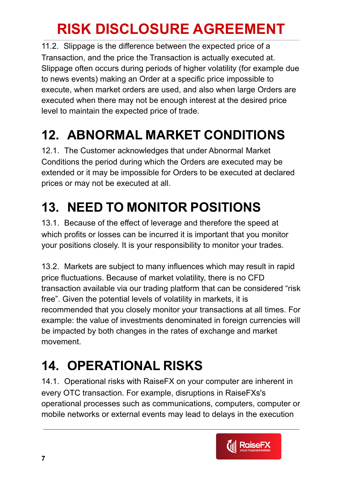11.2. Slippage is the difference between the expected price of a Transaction, and the price the Transaction is actually executed at. Slippage often occurs during periods of higher volatility (for example due to news events) making an Order at a specific price impossible to execute, when market orders are used, and also when large Orders are executed when there may not be enough interest at the desired price level to maintain the expected price of trade.

## **12. ABNORMAL MARKET CONDITIONS**

12.1. The Customer acknowledges that under Abnormal Market Conditions the period during which the Orders are executed may be extended or it may be impossible for Orders to be executed at declared prices or may not be executed at all.

## **13. NEED TO MONITOR POSITIONS**

13.1. Because of the effect of leverage and therefore the speed at which profits or losses can be incurred it is important that you monitor your positions closely. It is your responsibility to monitor your trades.

13.2. Markets are subject to many influences which may result in rapid price fluctuations. Because of market volatility, there is no CFD transaction available via our trading platform that can be considered "risk free". Given the potential levels of volatility in markets, it is recommended that you closely monitor your transactions at all times. For example: the value of investments denominated in foreign currencies will be impacted by both changes in the rates of exchange and market movement.

## **14. OPERATIONAL RISKS**

14.1. Operational risks with RaiseFX on your computer are inherent in every OTC transaction. For example, disruptions in RaiseFXs's operational processes such as communications, computers, computer or mobile networks or external events may lead to delays in the execution

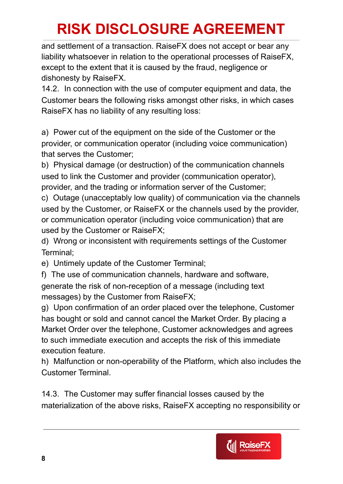and settlement of a transaction. RaiseFX does not accept or bear any liability whatsoever in relation to the operational processes of RaiseFX, except to the extent that it is caused by the fraud, negligence or dishonesty by RaiseFX.

14.2. In connection with the use of computer equipment and data, the Customer bears the following risks amongst other risks, in which cases RaiseFX has no liability of any resulting loss:

a) Power cut of the equipment on the side of the Customer or the provider, or communication operator (including voice communication) that serves the Customer;

b) Physical damage (or destruction) of the communication channels used to link the Customer and provider (communication operator), provider, and the trading or information server of the Customer;

c) Outage (unacceptably low quality) of communication via the channels used by the Customer, or RaiseFX or the channels used by the provider, or communication operator (including voice communication) that are used by the Customer or RaiseFX;

d) Wrong or inconsistent with requirements settings of the Customer Terminal;

e) Untimely update of the Customer Terminal;

f) The use of communication channels, hardware and software, generate the risk of non-reception of a message (including text messages) by the Customer from RaiseFX;

g) Upon confirmation of an order placed over the telephone, Customer has bought or sold and cannot cancel the Market Order. By placing a Market Order over the telephone, Customer acknowledges and agrees to such immediate execution and accepts the risk of this immediate execution feature.

h) Malfunction or non-operability of the Platform, which also includes the Customer Terminal.

14.3. The Customer may suffer financial losses caused by the materialization of the above risks, RaiseFX accepting no responsibility or

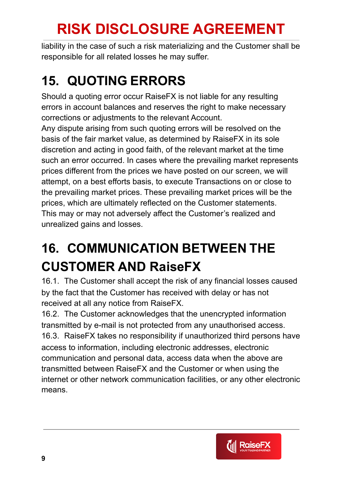liability in the case of such a risk materializing and the Customer shall be responsible for all related losses he may suffer.

### **15. QUOTING ERRORS**

Should a quoting error occur RaiseFX is not liable for any resulting errors in account balances and reserves the right to make necessary corrections or adjustments to the relevant Account.

Any dispute arising from such quoting errors will be resolved on the basis of the fair market value, as determined by RaiseFX in its sole discretion and acting in good faith, of the relevant market at the time such an error occurred. In cases where the prevailing market represents prices different from the prices we have posted on our screen, we will attempt, on a best efforts basis, to execute Transactions on or close to the prevailing market prices. These prevailing market prices will be the prices, which are ultimately reflected on the Customer statements. This may or may not adversely affect the Customer's realized and unrealized gains and losses.

### **16. COMMUNICATION BETWEEN THE CUSTOMER AND RaiseFX**

16.1. The Customer shall accept the risk of any financial losses caused by the fact that the Customer has received with delay or has not received at all any notice from RaiseFX.

16.2. The Customer acknowledges that the unencrypted information transmitted by e-mail is not protected from any unauthorised access. 16.3. RaiseFX takes no responsibility if unauthorized third persons have access to information, including electronic addresses, electronic communication and personal data, access data when the above are transmitted between RaiseFX and the Customer or when using the internet or other network communication facilities, or any other electronic means.

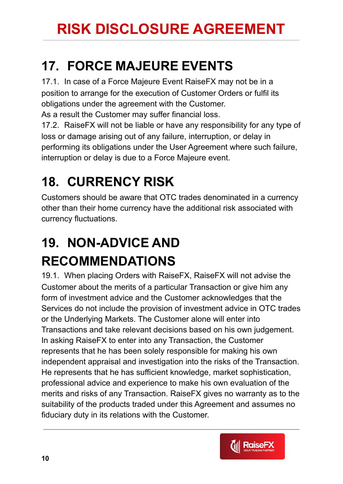#### **17. FORCE MAJEURE EVENTS**

17.1. In case of a Force Majeure Event RaiseFX may not be in a position to arrange for the execution of Customer Orders or fulfil its obligations under the agreement with the Customer.

As a result the Customer may suffer financial loss.

17.2. RaiseFX will not be liable or have any responsibility for any type of loss or damage arising out of any failure, interruption, or delay in performing its obligations under the User Agreement where such failure, interruption or delay is due to a Force Majeure event.

## **18. CURRENCY RISK**

Customers should be aware that OTC trades denominated in a currency other than their home currency have the additional risk associated with currency fluctuations.

### **19. NON-ADVICE AND RECOMMENDATIONS**

19.1. When placing Orders with RaiseFX, RaiseFX will not advise the Customer about the merits of a particular Transaction or give him any form of investment advice and the Customer acknowledges that the Services do not include the provision of investment advice in OTC trades or the Underlying Markets. The Customer alone will enter into Transactions and take relevant decisions based on his own judgement. In asking RaiseFX to enter into any Transaction, the Customer represents that he has been solely responsible for making his own independent appraisal and investigation into the risks of the Transaction. He represents that he has sufficient knowledge, market sophistication, professional advice and experience to make his own evaluation of the merits and risks of any Transaction. RaiseFX gives no warranty as to the suitability of the products traded under this Agreement and assumes no fiduciary duty in its relations with the Customer.

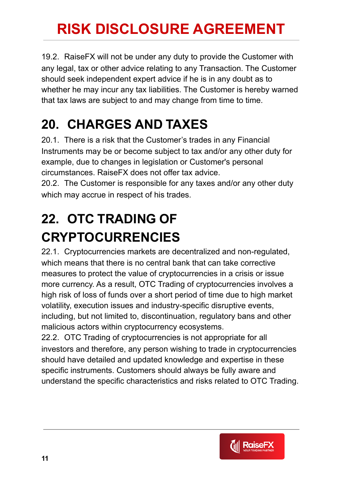19.2. RaiseFX will not be under any duty to provide the Customer with any legal, tax or other advice relating to any Transaction. The Customer should seek independent expert advice if he is in any doubt as to whether he may incur any tax liabilities. The Customer is hereby warned that tax laws are subject to and may change from time to time.

#### **20. CHARGES AND TAXES**

20.1. There is a risk that the Customer's trades in any Financial Instruments may be or become subject to tax and/or any other duty for example, due to changes in legislation or Customer's personal circumstances. RaiseFX does not offer tax advice.

20.2. The Customer is responsible for any taxes and/or any other duty which may accrue in respect of his trades.

### **22. OTC TRADING OF CRYPTOCURRENCIES**

22.1. Cryptocurrencies markets are decentralized and non-regulated, which means that there is no central bank that can take corrective measures to protect the value of cryptocurrencies in a crisis or issue more currency. As a result, OTC Trading of cryptocurrencies involves a high risk of loss of funds over a short period of time due to high market volatility, execution issues and industry-specific disruptive events, including, but not limited to, discontinuation, regulatory bans and other malicious actors within cryptocurrency ecosystems.

22.2. OTC Trading of cryptocurrencies is not appropriate for all investors and therefore, any person wishing to trade in cryptocurrencies should have detailed and updated knowledge and expertise in these specific instruments. Customers should always be fully aware and understand the specific characteristics and risks related to OTC Trading.